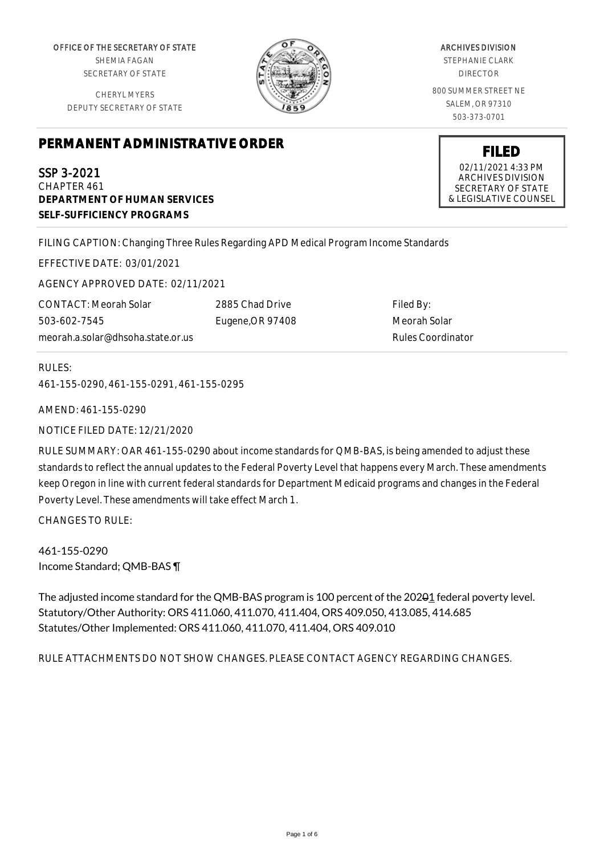OFFICE OF THE SECRETARY OF STATE SHEMIA FAGAN

SECRETARY OF STATE

CHERYL MYERS DEPUTY SECRETARY OF STATE



ARCHIVES DIVISION STEPHANIE CLARK DIRECTOR

800 SUMMER STREET NE SALEM, OR 97310 503-373-0701

# **PERMANENT ADMINISTRATIVE ORDER**

SSP 3-2021 CHAPTER 461 **DEPARTMENT OF HUMAN SERVICES SELF-SUFFICIENCY PROGRAMS**

FILING CAPTION: Changing Three Rules Regarding APD Medical Program Income Standards

EFFECTIVE DATE: 03/01/2021

AGENCY APPROVED DATE: 02/11/2021

CONTACT: Meorah Solar 503-602-7545 meorah.a.solar@dhsoha.state.or.us 2885 Chad Drive Eugene,OR 97408

Filed By: Meorah Solar Rules Coordinator

### RULES:

461-155-0290, 461-155-0291, 461-155-0295

AMEND: 461-155-0290

NOTICE FILED DATE: 12/21/2020

RULE SUMMARY: OAR 461-155-0290 about income standards for QMB-BAS, is being amended to adjust these standards to reflect the annual updates to the Federal Poverty Level that happens every March. These amendments keep Oregon in line with current federal standards for Department Medicaid programs and changes in the Federal Poverty Level. These amendments will take effect March 1.

CHANGES TO RULE:

461-155-0290 Income Standard; QMB-BAS ¶

The adjusted income standard for the QMB-BAS program is 100 percent of the 20201 federal poverty level. Statutory/Other Authority: ORS 411.060, 411.070, 411.404, ORS 409.050, 413.085, 414.685 Statutes/Other Implemented: ORS 411.060, 411.070, 411.404, ORS 409.010

RULE ATTACHMENTS DO NOT SHOW CHANGES. PLEASE CONTACT AGENCY REGARDING CHANGES.

02/11/2021 4:33 PM ARCHIVES DIVISION SECRETARY OF STATE & LEGISLATIVE COUNSEL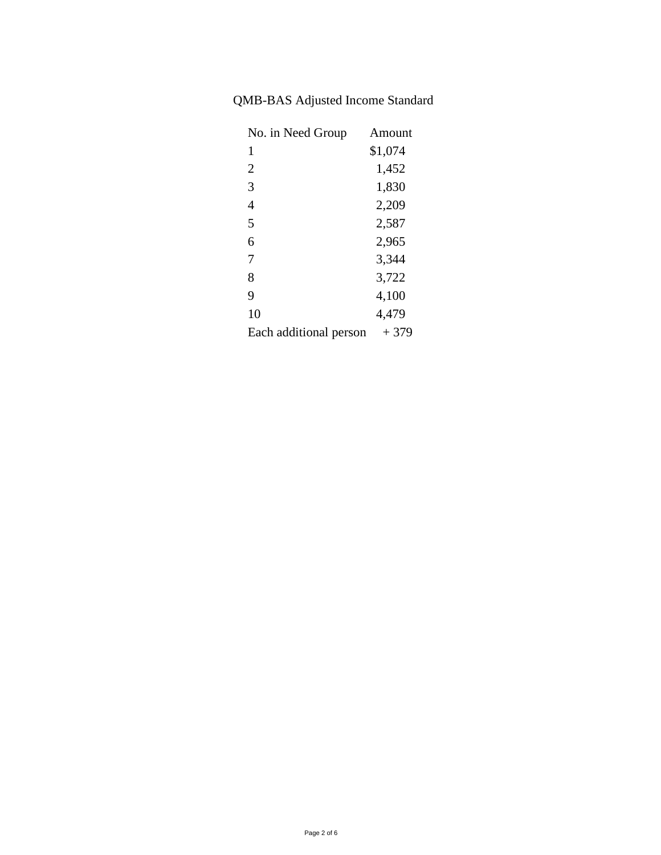## QMB-BAS Adjusted Income Standard

| No. in Need Group      | Amount  |
|------------------------|---------|
| 1                      | \$1,074 |
| $\overline{2}$         | 1,452   |
| 3                      | 1,830   |
| 4                      | 2,209   |
| 5                      | 2,587   |
| 6                      | 2,965   |
| 7                      | 3,344   |
| 8                      | 3,722   |
| 9                      | 4,100   |
| 10                     | 4,479   |
| Each additional person | $+379$  |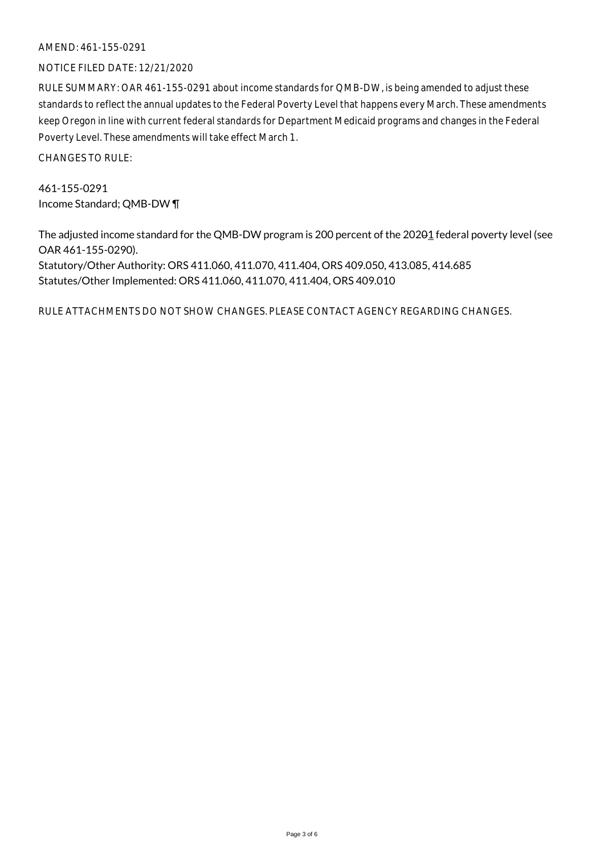#### AMEND: 461-155-0291

#### NOTICE FILED DATE: 12/21/2020

RULE SUMMARY: OAR 461-155-0291 about income standards for QMB-DW, is being amended to adjust these standards to reflect the annual updates to the Federal Poverty Level that happens every March. These amendments keep Oregon in line with current federal standards for Department Medicaid programs and changes in the Federal Poverty Level. These amendments will take effect March 1.

CHANGES TO RULE:

461-155-0291 Income Standard; QMB-DW ¶

The adjusted income standard for the QMB-DW program is 200 percent of the 20201 federal poverty level (see OAR 461-155-0290).

Statutory/Other Authority: ORS 411.060, 411.070, 411.404, ORS 409.050, 413.085, 414.685 Statutes/Other Implemented: ORS 411.060, 411.070, 411.404, ORS 409.010

RULE ATTACHMENTS DO NOT SHOW CHANGES. PLEASE CONTACT AGENCY REGARDING CHANGES.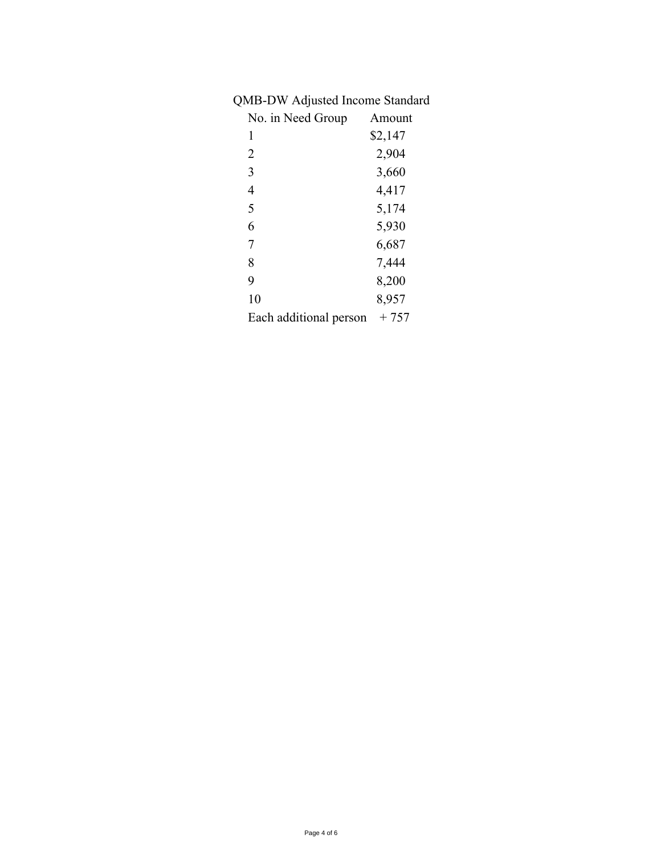## QMB-DW Adjusted Income Standard

| No. in Need Group      | Amount  |
|------------------------|---------|
| 1                      | \$2,147 |
| 2                      | 2,904   |
| 3                      | 3,660   |
| 4                      | 4,417   |
| 5                      | 5,174   |
| 6                      | 5,930   |
| 7                      | 6,687   |
| 8                      | 7,444   |
| 9                      | 8,200   |
| 10                     | 8,957   |
| Each additional person | + 757   |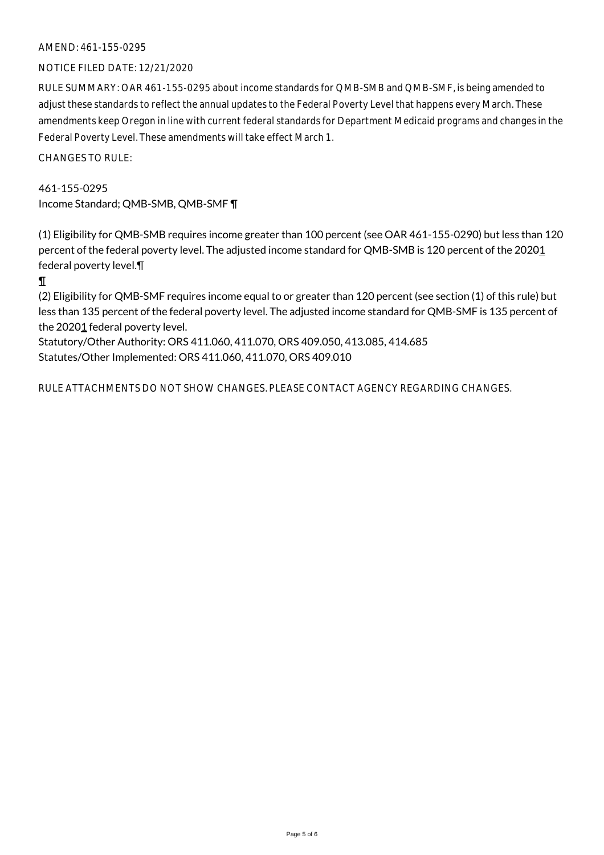### AMEND: 461-155-0295

#### NOTICE FILED DATE: 12/21/2020

RULE SUMMARY: OAR 461-155-0295 about income standards for QMB-SMB and QMB-SMF, is being amended to adjust these standards to reflect the annual updates to the Federal Poverty Level that happens every March. These amendments keep Oregon in line with current federal standards for Department Medicaid programs and changes in the Federal Poverty Level. These amendments will take effect March 1.

CHANGES TO RULE:

#### 461-155-0295

Income Standard; QMB-SMB, QMB-SMF ¶

(1) Eligibility for QMB-SMB requires income greater than 100 percent (see OAR 461-155-0290) but less than 120 percent of the federal poverty level. The adjusted income standard for QMB-SMB is 120 percent of the 20201 federal poverty level.¶

¶

(2) Eligibility for QMB-SMF requires income equal to or greater than 120 percent (see section (1) of this rule) but less than 135 percent of the federal poverty level. The adjusted income standard for QMB-SMF is 135 percent of the  $202\theta_1$  federal poverty level.

Statutory/Other Authority: ORS 411.060, 411.070, ORS 409.050, 413.085, 414.685 Statutes/Other Implemented: ORS 411.060, 411.070, ORS 409.010

RULE ATTACHMENTS DO NOT SHOW CHANGES. PLEASE CONTACT AGENCY REGARDING CHANGES.